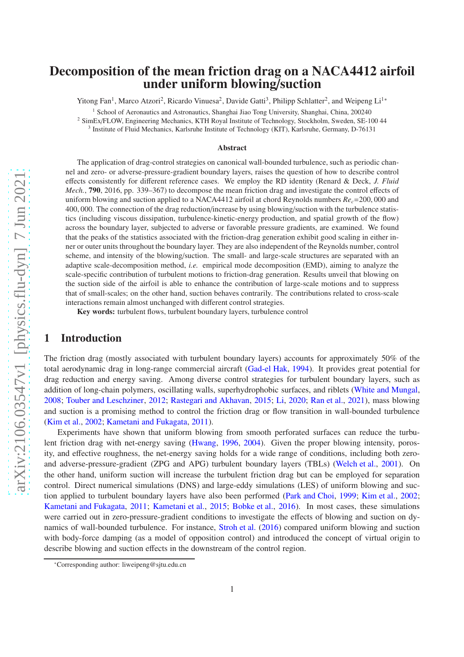# Decomposition of the mean friction drag on a NACA4412 airfoil under uniform blowing/suction

Yitong Fan<sup>1</sup>, Marco Atzori<sup>2</sup>, Ricardo Vinuesa<sup>2</sup>, Davide Gatti<sup>3</sup>, Philipp Schlatter<sup>2</sup>, and Weipeng Li<sup>[1\\*](#page-0-0)</sup>

<sup>1</sup> School of Aeronautics and Astronautics, Shanghai Jiao Tong University, Shanghai, China, 200240

<sup>2</sup> SimEx/FLOW, Engineering Mechanics, KTH Royal Institute of Technology, Stockholm, Sweden, SE-100 44

3 Institute of Fluid Mechanics, Karlsruhe Institute of Technology (KIT), Karlsruhe, Germany, D-76131

#### Abstract

The application of drag-control strategies on canonical wall-bounded turbulence, such as periodic channel and zero- or adverse-pressure-gradient boundary layers, raises the question of how to describe control effects consistently for different reference cases. We employ the RD identity (Renard & Deck, *J. Fluid Mech.*, 790, 2016, pp. 339–367) to decompose the mean friction drag and investigate the control effects of uniform blowing and suction applied to a NACA4412 airfoil at chord Reynolds numbers *Rec*=200, 000 and 400, 000. The connection of the drag reduction/increase by using blowing/suction with the turbulence statistics (including viscous dissipation, turbulence-kinetic-energy production, and spatial growth of the flow) across the boundary layer, subjected to adverse or favorable pressure gradients, are examined. We found that the peaks of the statistics associated with the friction-drag generation exhibit good scaling in either inner or outer units throughout the boundary layer. They are also independent of the Reynolds number, control scheme, and intensity of the blowing/suction. The small- and large-scale structures are separated with an adaptive scale-decomposition method, *i.e.* empirical mode decomposition (EMD), aiming to analyze the scale-specific contribution of turbulent motions to friction-drag generation. Results unveil that blowing on the suction side of the airfoil is able to enhance the contribution of large-scale motions and to suppress that of small-scales; on the other hand, suction behaves contrarily. The contributions related to cross-scale interactions remain almost unchanged with different control strategies.

Key words: turbulent flows, turbulent boundary layers, turbulence control

## 1 Introduction

The friction drag (mostly associated with turbulent boundary layers) accounts for approximately 50% of the total aerodynamic drag in long-range commercial aircraft [\(Gad-el Hak,](#page-17-0) [1994](#page-17-0)). It provides great potential for drag reduction and energy saving. Among diverse control strategies for turbulent boundary layers, such as addition of long-chain polymers, oscillating walls, superhydrophobic surfaces, and riblets [\(White and Mungal,](#page-19-0) [2008](#page-19-0); [Touber and Leschziner](#page-19-1), [2012](#page-19-1); [Rastegari and Akhavan](#page-19-2), [2015](#page-19-2); [Li](#page-18-0), [2020](#page-18-0); [Ran et al.](#page-19-3), [2021](#page-19-3)), mass blowing and suction is a promising method to control the friction drag or flow transition in wall-bounded turbulence [\(Kim et al.,](#page-18-1) [2002;](#page-18-1) [Kametani and Fukagata](#page-18-2), [2011](#page-18-2)).

Experiments have shown that uniform blowing from smooth perforated surfaces can reduce the turbulent friction drag with net-energy saving [\(Hwang](#page-18-3), [1996,](#page-18-3) [2004](#page-18-4)). Given the proper blowing intensity, porosity, and effective roughness, the net-energy saving holds for a wide range of conditions, including both zeroand adverse-pressure-gradient (ZPG and APG) turbulent boundary layers (TBLs) [\(Welch et al.](#page-19-4), [2001\)](#page-19-4). On the other hand, uniform suction will increase the turbulent friction drag but can be employed for separation control. Direct numerical simulations (DNS) and large-eddy simulations (LES) of uniform blowing and suction applied to turbulent boundary layers have also been performed [\(Park and Choi,](#page-19-5) [1999;](#page-19-5) [Kim et al.](#page-18-1), [2002](#page-18-1); [Kametani and Fukagata](#page-18-2), [2011;](#page-18-2) [Kametani et al.](#page-18-5), [2015](#page-18-5); [Bobke et al.](#page-16-0), [2016](#page-16-0)). In most cases, these simulations were carried out in zero-pressure-gradient conditions to investigate the effects of blowing and suction on dynamics of wall-bounded turbulence. For instance, [Stroh et al.](#page-19-6) [\(2016](#page-19-6)) compared uniform blowing and suction with body-force damping (as a model of opposition control) and introduced the concept of virtual origin to describe blowing and suction effects in the downstream of the control region.

<span id="page-0-0"></span><sup>\*</sup>Corresponding author: liweipeng@sjtu.edu.cn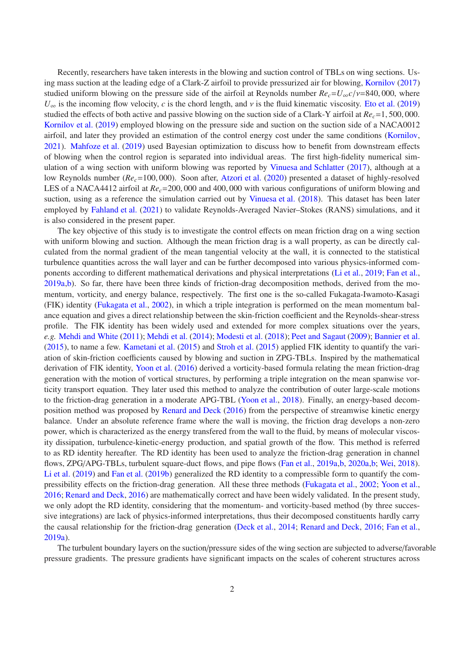Recently, researchers have taken interests in the blowing and suction control of TBLs on wing sections. Using mass suction at the leading edge of a Clark-Z airfoil to provide pressurized air for blowing, [Kornilov](#page-18-6) [\(2017\)](#page-18-6) studied uniform blowing on the pressure side of the airfoil at Reynolds number  $Re_c = U_\infty c/v = 840,000$ , where  $U_{\infty}$  is the incoming flow velocity, *c* is the chord length, and *v* is the fluid kinematic viscosity. [Eto et al.](#page-16-1) [\(2019\)](#page-16-1) studied the effects of both active and passive blowing on the suction side of a Clark-Y airfoil at *Rec*=1, 500, 000. [Kornilov et al.](#page-18-7) [\(2019\)](#page-18-7) employed blowing on the pressure side and suction on the suction side of a NACA0012 airfoil, and later they provided an estimation of the control energy cost under the same conditions [\(Kornilov,](#page-18-8) [2021](#page-18-8)). [Mahfoze et al.](#page-18-9) [\(2019](#page-18-9)) used Bayesian optimization to discuss how to benefit from downstream effects of blowing when the control region is separated into individual areas. The first high-fidelity numerical simulation of a wing section with uniform blowing was reported by [Vinuesa and Schlatter](#page-19-7) [\(2017](#page-19-7)), although at a low Reynolds number ( $Re<sub>c</sub>=100,000$ ). Soon after, [Atzori et al.](#page-16-2) [\(2020](#page-16-2)) presented a dataset of highly-resolved LES of a NACA4412 airfoil at *Rec*=200, 000 and 400, 000 with various configurations of uniform blowing and suction, using as a reference the simulation carried out by [Vinuesa et al.](#page-19-8) [\(2018\)](#page-19-8). This dataset has been later employed by [Fahland et al.](#page-17-1) [\(2021](#page-17-1)) to validate Reynolds-Averaged Navier–Stokes (RANS) simulations, and it is also considered in the present paper.

The key objective of this study is to investigate the control effects on mean friction drag on a wing section with uniform blowing and suction. Although the mean friction drag is a wall property, as can be directly calculated from the normal gradient of the mean tangential velocity at the wall, it is connected to the statistical turbulence quantities across the wall layer and can be further decomposed into various physics-informed components according to different mathematical derivations and physical interpretations [\(Li et al.,](#page-18-10) [2019;](#page-18-10) [Fan et al.,](#page-17-2) [2019a](#page-17-2)[,b\)](#page-17-3). So far, there have been three kinds of friction-drag decomposition methods, derived from the momentum, vorticity, and energy balance, respectively. The first one is the so-called Fukagata-Iwamoto-Kasagi (FIK) identity [\(Fukagata et al.,](#page-17-4) [2002](#page-17-4)), in which a triple integration is performed on the mean momentum balance equation and gives a direct relationship between the skin-friction coefficient and the Reynolds-shear-stress profile. The FIK identity has been widely used and extended for more complex situations over the years, *e.g.* [Mehdi and White](#page-18-11) [\(2011](#page-18-11)); [Mehdi et al.](#page-19-9) [\(2014](#page-19-9)); [Modesti et al.](#page-19-10) [\(2018\)](#page-19-10); [Peet and Sagaut](#page-19-11) [\(2009](#page-19-11)); [Bannier et al.](#page-16-3) [\(2015](#page-16-3)), to name a few. [Kametani et al.](#page-18-5) [\(2015\)](#page-18-5) and [Stroh et al.](#page-19-12) [\(2015\)](#page-19-12) applied FIK identity to quantify the variation of skin-friction coefficients caused by blowing and suction in ZPG-TBLs. Inspired by the mathematical derivation of FIK identity, [Yoon et al.](#page-20-0) [\(2016](#page-20-0)) derived a vorticity-based formula relating the mean friction-drag generation with the motion of vortical structures, by performing a triple integration on the mean spanwise vorticity transport equation. They later used this method to analyze the contribution of outer large-scale motions to the friction-drag generation in a moderate APG-TBL [\(Yoon et al.,](#page-20-1) [2018\)](#page-20-1). Finally, an energy-based decomposition method was proposed by [Renard and Deck](#page-19-13) [\(2016](#page-19-13)) from the perspective of streamwise kinetic energy balance. Under an absolute reference frame where the wall is moving, the friction drag develops a non-zero power, which is characterized as the energy transfered from the wall to the fluid, by means of molecular viscosity dissipation, turbulence-kinetic-energy production, and spatial growth of the flow. This method is referred to as RD identity hereafter. The RD identity has been used to analyze the friction-drag generation in channel flows, ZPG/APG-TBLs, turbulent square-duct flows, and pipe flows [\(Fan et al.,](#page-17-2) [2019a](#page-17-2)[,b](#page-17-3), [2020a](#page-17-5)[,b;](#page-17-6) [Wei,](#page-19-14) [2018](#page-19-14)). [Li et al.](#page-18-10) [\(2019](#page-18-10)) and [Fan et al.](#page-17-3) [\(2019b](#page-17-3)) generalized the RD identity to a compressible form to quantify the compressibility effects on the friction-drag generation. All these three methods [\(Fukagata et al.](#page-17-4), [2002;](#page-17-4) [Yoon et al.,](#page-20-0) [2016](#page-20-0); [Renard and Deck](#page-19-13), [2016](#page-19-13)) are mathematically correct and have been widely validated. In the present study, we only adopt the RD identity, considering that the momentum- and vorticity-based method (by three successive integrations) are lack of physics-informed interpretations, thus their decomposed constituents hardly carry the causal relationship for the friction-drag generation [\(Deck et al.,](#page-16-4) [2014;](#page-16-4) [Renard and Deck](#page-19-13), [2016](#page-19-13); [Fan et al.,](#page-17-2) [2019a](#page-17-2)).

The turbulent boundary layers on the suction/pressure sides of the wing section are subjected to adverse/favorable pressure gradients. The pressure gradients have significant impacts on the scales of coherent structures across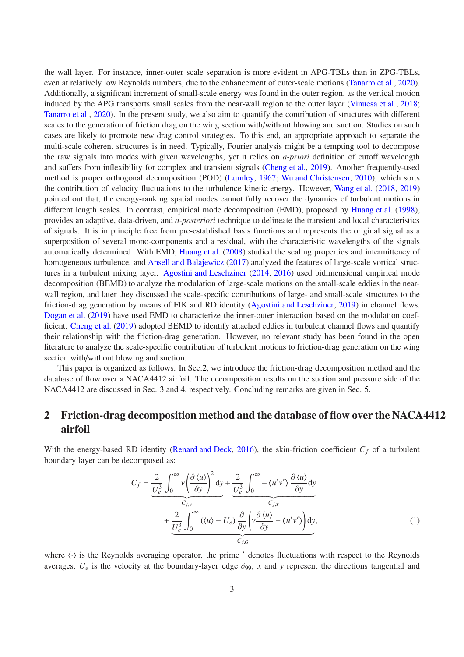the wall layer. For instance, inner-outer scale separation is more evident in APG-TBLs than in ZPG-TBLs, even at relatively low Reynolds numbers, due to the enhancement of outer-scale motions [\(Tanarro et al.](#page-19-15), [2020](#page-19-15)). Additionally, a significant increment of small-scale energy was found in the outer region, as the vertical motion induced by the APG transports small scales from the near-wall region to the outer layer [\(Vinuesa et al.,](#page-19-8) [2018](#page-19-8); [Tanarro et al.](#page-19-15), [2020\)](#page-19-15). In the present study, we also aim to quantify the contribution of structures with different scales to the generation of friction drag on the wing section with/without blowing and suction. Studies on such cases are likely to promote new drag control strategies. To this end, an appropriate approach to separate the multi-scale coherent structures is in need. Typically, Fourier analysis might be a tempting tool to decompose the raw signals into modes with given wavelengths, yet it relies on *a-priori* definition of cutoff wavelength and suffers from inflexibility for complex and transient signals [\(Cheng et al.](#page-16-5), [2019\)](#page-16-5). Another frequently-used method is proper orthogonal decomposition (POD) [\(Lumley,](#page-18-12) [1967](#page-18-12); [Wu and Christensen](#page-19-16), [2010](#page-19-16)), which sorts the contribution of velocity fluctuations to the turbulence kinetic energy. However, [Wang et al.](#page-19-17) [\(2018](#page-19-17), [2019\)](#page-19-18) pointed out that, the energy-ranking spatial modes cannot fully recover the dynamics of turbulent motions in different length scales. In contrast, empirical mode decomposition (EMD), proposed by [Huang et al.](#page-17-7) [\(1998](#page-17-7)), provides an adaptive, data-driven, and *a-posteriori* technique to delineate the transient and local characteristics of signals. It is in principle free from pre-established basis functions and represents the original signal as a superposition of several mono-components and a residual, with the characteristic wavelengths of the signals automatically determined. With EMD, [Huang et al.](#page-18-13) [\(2008](#page-18-13)) studied the scaling properties and intermittency of homogeneous turbulence, and [Ansell and Balajewicz](#page-16-6) [\(2017](#page-16-6)) analyzed the features of large-scale vortical structures in a turbulent mixing layer. [Agostini and Leschziner](#page-16-7) [\(2014](#page-16-7), [2016](#page-16-8)) used bidimensional empirical mode decomposition (BEMD) to analyze the modulation of large-scale motions on the small-scale eddies in the nearwall region, and later they discussed the scale-specific contributions of large- and small-scale structures to the friction-drag generation by means of FIK and RD identity [\(Agostini and Leschziner](#page-16-9), [2019](#page-16-9)) in channel flows. [Dogan et al.](#page-16-10) [\(2019](#page-16-10)) have used EMD to characterize the inner-outer interaction based on the modulation coefficient. [Cheng et al.](#page-16-5) [\(2019](#page-16-5)) adopted BEMD to identify attached eddies in turbulent channel flows and quantify their relationship with the friction-drag generation. However, no relevant study has been found in the open literature to analyze the scale-specific contribution of turbulent motions to friction-drag generation on the wing section with/without blowing and suction.

This paper is organized as follows. In Sec[.2,](#page-2-0) we introduce the friction-drag decomposition method and the database of flow over a NACA4412 airfoil. The decomposition results on the suction and pressure side of the NACA4412 are discussed in Sec. [3](#page-4-0) and [4,](#page-12-0) respectively. Concluding remarks are given in Sec. [5.](#page-13-0)

# <span id="page-2-0"></span>2 Friction-drag decomposition method and the database of flow over the NACA4412 airfoil

With the energy-based RD identity [\(Renard and Deck](#page-19-13), [2016\)](#page-19-13), the skin-friction coefficient  $C_f$  of a turbulent boundary layer can be decomposed as:

<span id="page-2-1"></span>
$$
C_f = \underbrace{\frac{2}{U_e^3} \int_0^\infty v \left(\frac{\partial \langle u \rangle}{\partial y}\right)^2 dy}_{C_{f,V}} + \underbrace{\frac{2}{U_e^3} \int_0^\infty - \langle u'v' \rangle \frac{\partial \langle u \rangle}{\partial y} dy}_{C_{f,T}} + \underbrace{\frac{2}{U_e^3} \int_0^\infty (\langle u \rangle - U_e) \frac{\partial}{\partial y} \left(v \frac{\partial \langle u \rangle}{\partial y} - \langle u'v' \rangle\right) dy}_{C_{f,G}},
$$
\n(1)

where  $\langle \cdot \rangle$  is the Reynolds averaging operator, the prime  $\prime$  denotes fluctuations with respect to the Reynolds averages,  $U_e$  is the velocity at the boundary-layer edge  $\delta_{99}$ , x and y represent the directions tangential and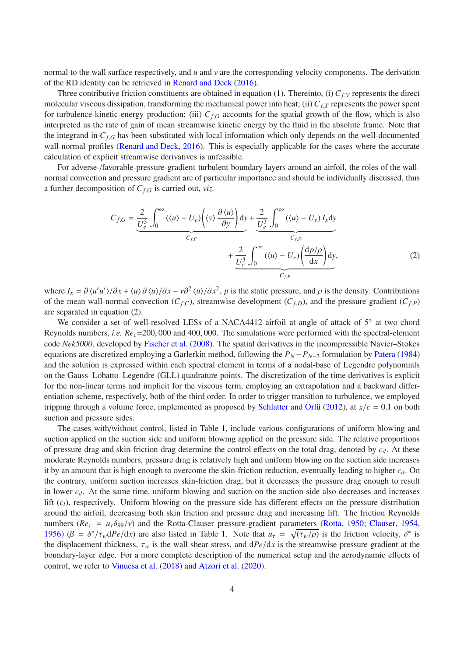normal to the wall surface respectively, and *u* and *v* are the corresponding velocity components. The derivation of the RD identity can be retrieved in [Renard and Deck](#page-19-13) [\(2016](#page-19-13)).

Three contributive friction constituents are obtained in equation [\(1\)](#page-2-1). Thereinto, (i) *Cf*,*<sup>V</sup>* represents the direct molecular viscous dissipation, transforming the mechanical power into heat; (ii) *Cf*,*<sup>T</sup>* represents the power spent for turbulence-kinetic-energy production; (iii)  $C_{f,G}$  accounts for the spatial growth of the flow, which is also interpreted as the rate of gain of mean streamwise kinetic energy by the fluid in the absolute frame. Note that the integrand in *Cf*,*<sup>G</sup>* has been substituted with local information which only depends on the well-documented wall-normal profiles [\(Renard and Deck,](#page-19-13) [2016](#page-19-13)). This is especially applicable for the cases where the accurate calculation of explicit streamwise derivatives is unfeasible.

For adverse-/favorable-pressure-gradient turbulent boundary layers around an airfoil, the roles of the wallnormal convection and pressure gradient are of particular importance and should be individually discussed, thus a further decomposition of *Cf*,*<sup>G</sup>* is carried out, *viz.*

<span id="page-3-0"></span>
$$
C_{f,G} = \underbrace{\frac{2}{U_e^3} \int_0^\infty (\langle u \rangle - U_e) \left( \langle v \rangle \frac{\partial \langle u \rangle}{\partial y} \right) dy}_{C_{f,C}} + \underbrace{\frac{2}{U_e^3} \int_0^\infty (\langle u \rangle - U_e) I_x dy}_{C_{f,D}} + \underbrace{\frac{2}{U_e^3} \int_0^\infty (\langle u \rangle - U_e) \left( \frac{dp/\rho}{dx} \right) dy}_{C_{f,P}},
$$
\n(2)

where  $I_x = \partial \langle u' u' \rangle / \partial x + \langle u \rangle \partial \langle u \rangle / \partial x - v \partial^2 \langle u \rangle / \partial x^2$ , *p* is the static pressure, and  $\rho$  is the density. Contributions of the mean wall-normal convection  $(C_{f,C})$ , streamwise development  $(C_{f,D})$ , and the pressure gradient  $(C_{f,P})$ are separated in equation [\(2\)](#page-3-0).

We consider a set of well-resolved LESs of a NACA4412 airfoil at angle of attack of 5° at two chord Reynolds numbers, *i.e. Rec*=200, 000 and 400, 000. The simulations were performed with the spectral-element code *Nek5000*, developed by [Fischer et al.](#page-17-8) [\(2008\)](#page-17-8). The spatial derivatives in the incompressible Navier–Stokes equations are discretized employing a Garlerkin method, following the  $P_N - P_{N-2}$  formulation by [Patera](#page-19-19) [\(1984\)](#page-19-19) and the solution is expressed within each spectral element in terms of a nodal-base of Legendre polynomials on the Gauss–Lobatto–Legendre (GLL) quadrature points. The discretization of the time derivatives is explicit for the non-linear terms and implicit for the viscous term, employing an extrapolation and a backward differentiation scheme, respectively, both of the third order. In order to trigger transition to turbulence, we employed tripping through a volume force, implemented as proposed by [Schlatter and](#page-19-20) Örlü [\(2012](#page-19-20)), at  $x/c = 0.1$  on both suction and pressure sides.

The cases with/without control, listed in Table [1,](#page-4-1) include various configurations of uniform blowing and suction applied on the suction side and uniform blowing applied on the pressure side. The relative proportions of pressure drag and skin-friction drag determine the control effects on the total drag, denoted by *cd*. At these moderate Reynolds numbers, pressure drag is relatively high and uniform blowing on the suction side increases it by an amount that is high enough to overcome the skin-friction reduction, eventually leading to higher *cd*. On the contrary, uniform suction increases skin-friction drag, but it decreases the pressure drag enough to result in lower  $c_d$ . At the same time, uniform blowing and suction on the suction side also decreases and increases lift (*cl*), respectively. Uniform blowing on the pressure side has different effects on the pressure distribution around the airfoil, decreasing both skin friction and pressure drag and increasing lift. The friction Reynolds numbers ( $Re_\tau = u_\tau \delta_{99}/v$ ) and the Rotta-Clauser pressure-gradient parameters [\(Rotta](#page-19-21), [1950](#page-19-21); [Clauser](#page-16-11), [1954,](#page-16-11) [1956](#page-16-12)) ( $\beta = \delta^* / \tau_w dPe/dx$ ) are also listed in Table [1.](#page-4-1) Note that  $u_\tau = \sqrt{(\tau_w/\rho)}$  is the friction velocity,  $\delta^*$  is the displacement thickness,  $\tau_w$  is the wall shear stress, and  $dPe/dx$  is the streamwise pressure gradient at the boundary-layer edge. For a more complete description of the numerical setup and the aerodynamic effects of control, we refer to [Vinuesa et al.](#page-19-8) [\(2018](#page-19-8)) and [Atzori et al.](#page-16-2) [\(2020](#page-16-2)).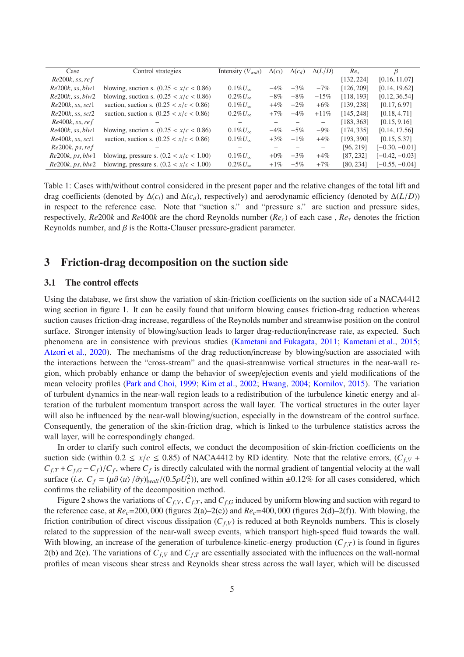| Case                   | Control strategies                        | Intensity $(V_{wall})$ | $\Delta(c_l)$ | $\Delta(c_d)$ | $\Delta(L/D)$            | $Re_{\tau}$ | β                |
|------------------------|-------------------------------------------|------------------------|---------------|---------------|--------------------------|-------------|------------------|
| $Re200k$ , ss, ref     |                                           |                        |               |               |                          | [132, 224]  | [0.16, 11.07]    |
| $Re200k$ , ss, $blw1$  | blowing, suction s. $(0.25 < x/c < 0.86)$ | $0.1\%U_{\infty}$      | $-4\%$        | $+3\%$        | $-7\%$                   | [126, 209]  | [0.14, 19.62]    |
| $Re200k$ , ss, $blw2$  | blowing, suction s. $(0.25 < x/c < 0.86)$ | $0.2\% U_{\infty}$     | $-8\%$        | $+8\%$        | $-15%$                   | [118, 193]  | [0.12, 36.54]    |
| $Re200k$ , ss, sct1    | suction, suction s. $(0.25 < x/c < 0.86)$ | $0.1\%U_{\infty}$      | $+4\%$        | $-2\%$        | $+6\%$                   | [139, 238]  | [0.17, 6.97]     |
| $Re200k$ , ss, sct $2$ | suction, suction s. $(0.25 < x/c < 0.86)$ | $0.2\% U_{\infty}$     | $+7\%$        | $-4\%$        | $+11%$                   | [145, 248]  | [0.18, 4.71]     |
| $Re400k$ , ss, ref     |                                           |                        |               |               | $\overline{\phantom{0}}$ | [183, 363]  | [0.15, 9.16]     |
| $Re400k$ , ss, $blw1$  | blowing, suction s. $(0.25 < x/c < 0.86)$ | $0.1\%U_{\infty}$      | $-4\%$        | $+5\%$        | $-9\%$                   | [174, 335]  | [0.14, 17.56]    |
| $Re400k$ , ss, sct1    | suction, suction s. $(0.25 < x/c < 0.86)$ | $0.1\%U_{\infty}$      | $+3\%$        | $-1\%$        | $+4\%$                   | [193, 390]  | [0.15, 5.37]     |
| Re200k, ps, ref        |                                           |                        |               |               | $\qquad \qquad -$        | [96, 219]   | $[-0.30, -0.01]$ |
| Re200k, ps, blw1       | blowing, pressure s. $(0.2 < x/c < 1.00)$ | $0.1\%U_{\infty}$      | $+0\%$        | $-3\%$        | $+4\%$                   | [87, 232]   | $[-0.42, -0.03]$ |
| Re200k, ps, blw2       | blowing, pressure s. $(0.2 < x/c < 1.00)$ | $0.2\% U_{\infty}$     | $+1\%$        | $-5\%$        | $+7\%$                   | [80, 234]   | $[-0.55, -0.04]$ |

<span id="page-4-1"></span>Table 1: Cases with/without control considered in the present paper and the relative changes of the total lift and drag coefficients (denoted by  $\Delta(c_l)$  and  $\Delta(c_d)$ , respectively) and aerodynamic efficiency (denoted by  $\Delta(L/D)$ ) in respect to the reference case. Note that "suction s." and "pressure s." are suction and pressure sides, respectively,  $Re200k$  and  $Re400k$  are the chord Reynolds number  $(Re<sub>c</sub>)$  of each case,  $Re<sub>\tau</sub>$  denotes the friction Reynolds number, and  $\beta$  is the Rotta-Clauser pressure-gradient parameter.

## <span id="page-4-0"></span>3 Friction-drag decomposition on the suction side

#### 3.1 The control effects

Using the database, we first show the variation of skin-friction coefficients on the suction side of a NACA4412 wing section in figure [1.](#page-5-0) It can be easily found that uniform blowing causes friction-drag reduction whereas suction causes friction-drag increase, regardless of the Reynolds number and streamwise position on the control surface. Stronger intensity of blowing/suction leads to larger drag-reduction/increase rate, as expected. Such phenomena are in consistence with previous studies [\(Kametani and Fukagata,](#page-18-2) [2011;](#page-18-2) [Kametani et al.,](#page-18-5) [2015](#page-18-5); [Atzori et al.](#page-16-2), [2020\)](#page-16-2). The mechanisms of the drag reduction/increase by blowing/suction are associated with the interactions between the "cross-stream" and the quasi-streamwise vortical structures in the near-wall region, which probably enhance or damp the behavior of sweep/ejection events and yield modifications of the mean velocity profiles [\(Park and Choi,](#page-19-5) [1999;](#page-19-5) [Kim et al.](#page-18-1), [2002](#page-18-1); [Hwang](#page-18-4), [2004](#page-18-4); [Kornilov](#page-18-14), [2015](#page-18-14)). The variation of turbulent dynamics in the near-wall region leads to a redistribution of the turbulence kinetic energy and alteration of the turbulent momentum transport across the wall layer. The vortical structures in the outer layer will also be influenced by the near-wall blowing/suction, especially in the downstream of the control surface. Consequently, the generation of the skin-friction drag, which is linked to the turbulence statistics across the wall layer, will be correspondingly changed.

In order to clarify such control effects, we conduct the decomposition of skin-friction coefficients on the suction side (within  $0.2 \le x/c \le 0.85$ ) of NACA4412 by RD identity. Note that the relative errors,  $(C_fV + C)$  $C_{f,T} + C_{f,G} - C_f$ )/ $C_f$ , where  $C_f$  is directly calculated with the normal gradient of tangential velocity at the wall surface (*i.e.*  $C_f = (\mu \partial \langle u \rangle / \partial y)|_{wall} / (0.5 \rho U_e^2)$ ), are well confined within ±0.12% for all cases considered, which confirms the reliability of the decomposition method.

Figure [2](#page-6-0) shows the variations of  $C_{f,V}$ ,  $C_{f,T}$ , and  $C_{f,G}$  induced by uniform blowing and suction with regard to the reference case, at  $Re<sub>c</sub>=200,000$  (figures [2\(a\)–](#page-6-1)[2\(c\)\)](#page-6-2) and  $Re<sub>c</sub>=400,000$  (figures [2\(d\)–](#page-6-3)[2\(f\)\)](#page-6-4). With blowing, the friction contribution of direct viscous dissipation  $(C_f, V)$  is reduced at both Reynolds numbers. This is closely related to the suppression of the near-wall sweep events, which transport high-speed fluid towards the wall. With blowing, an increase of the generation of turbulence-kinetic-energy production  $(C_f)$  is found in figures [2\(b\)](#page-6-5) and [2\(e\).](#page-6-6) The variations of  $C_f$ <sub>*V*</sub> and  $C_f$ <sub>*T*</sub> are essentially associated with the influences on the wall-normal profiles of mean viscous shear stress and Reynolds shear stress across the wall layer, which will be discussed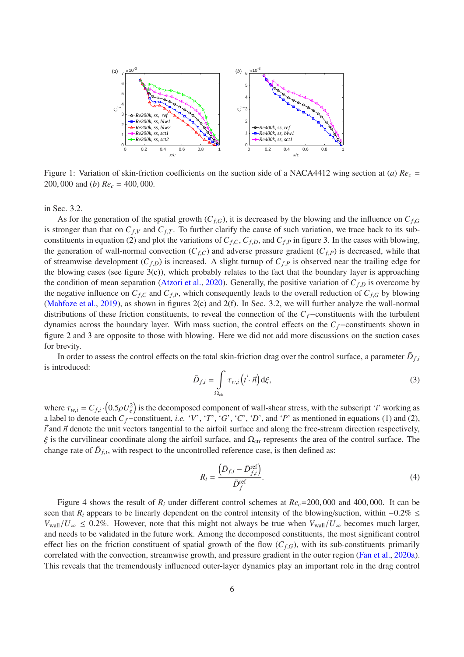<span id="page-5-2"></span><span id="page-5-1"></span>

<span id="page-5-0"></span>Figure 1: Variation of skin-friction coefficients on the suction side of a NACA4412 wing section at (*a*) *Re<sup>c</sup>* = 200, 000 and (*b*) *Re<sup>c</sup>* = 400, 000.

in Sec. [3.2.](#page-6-7)

As for the generation of the spatial growth  $(C_{f,G})$ , it is decreased by the blowing and the influence on  $C_{f,G}$ is stronger than that on  $C_{f,V}$  and  $C_{f,T}$ . To further clarify the cause of such variation, we trace back to its sub-constituents in equation [\(2\)](#page-3-0) and plot the variations of  $C_{f,C}$ ,  $C_{f,D}$ , and  $C_{f,P}$  in figure [3.](#page-7-0) In the cases with blowing, the generation of wall-normal convection  $(C_{f,C})$  and adverse pressure gradient  $(C_{f,P})$  is decreased, while that of streamwise development  $(C_{f,D})$  is increased. A slight turnup of  $C_{f,P}$  is observed near the trailing edge for the blowing cases (see figure [3\(c\)\)](#page-7-1), which probably relates to the fact that the boundary layer is approaching the condition of mean separation [\(Atzori et al.](#page-16-2), [2020](#page-16-2)). Generally, the positive variation of  $C_{f,D}$  is overcome by the negative influence on  $C_{f,C}$  and  $C_{f,P}$ , which consequently leads to the overall reduction of  $C_{f,G}$  by blowing [\(Mahfoze et al.](#page-18-9), [2019](#page-18-9)), as shown in figures [2\(c\)](#page-6-2) and [2\(f\).](#page-6-4) In Sec. [3.2,](#page-6-7) we will further analyze the wall-normal distributions of these friction constituents, to reveal the connection of the *Cf*−constituents with the turbulent dynamics across the boundary layer. With mass suction, the control effects on the *Cf*−constituents shown in figure [2](#page-6-0) and [3](#page-7-0) are opposite to those with blowing. Here we did not add more discussions on the suction cases for brevity.

In order to assess the control effects on the total skin-friction drag over the control surface, a parameter  $\bar{D}_{f,i}$ is introduced:

$$
\bar{D}_{f,i} = \int_{\Omega_{\text{ctr}}} \tau_{w,i} \left(\vec{t} \cdot \vec{n}\right) d\xi,\tag{3}
$$

where  $\tau_{w,i} = C_{f,i} \cdot (0.5 \rho U_e^2)$  is the decomposed component of wall-shear stress, with the subscript '*i*' working as a label to denote each  $C_f$ −constituent, *i.e.* '*V*', '*T*', '*G*', '*C*', '*D*', and '*P*' as mentioned in equations [\(1\)](#page-2-1) and [\(2\)](#page-3-0),  $\vec{t}$  and  $\vec{n}$  denote the unit vectors tangential to the airfoil surface and along the free-stream direction respectively,  $\xi$  is the curvilinear coordinate along the airfoil surface, and  $\Omega_{\rm cr}$  represents the area of the control surface. The change rate of  $\bar{D}_{f,i}$ , with respect to the uncontrolled reference case, is then defined as:

$$
R_i = \frac{\left(\bar{D}_{f,i} - \bar{D}_{f,i}^{\text{ref}}\right)}{\bar{D}_f^{\text{ref}}}.\tag{4}
$$

Figure [4](#page-8-0) shows the result of  $R_i$  under different control schemes at  $Re_c = 200,000$  and 400,000. It can be seen that *R<sub>i</sub>* appears to be linearly dependent on the control intensity of the blowing/suction, within −0.2% ≤  $V_{\text{wall}}/U_{\infty} \leq 0.2\%$ . However, note that this might not always be true when  $V_{\text{wall}}/U_{\infty}$  becomes much larger, and needs to be validated in the future work. Among the decomposed constituents, the most significant control effect lies on the friction constituent of spatial growth of the flow  $(C_{f,G})$ , with its sub-constituents primarily correlated with the convection, streamwise growth, and pressure gradient in the outer region [\(Fan et al.](#page-17-5), [2020a](#page-17-5)). This reveals that the tremendously influenced outer-layer dynamics play an important role in the drag control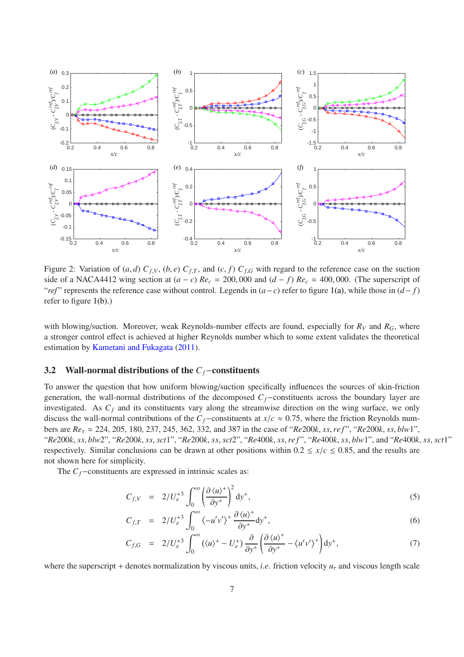<span id="page-6-5"></span><span id="page-6-2"></span><span id="page-6-1"></span>

<span id="page-6-6"></span><span id="page-6-4"></span><span id="page-6-3"></span><span id="page-6-0"></span>Figure 2: Variation of  $(a, d)$   $C_{f,V}$ ,  $(b, e)$   $C_{f,T}$ , and  $(c, f)$   $C_{f,G}$  with regard to the reference case on the suction side of a NACA4412 wing section at  $(a − c)$   $Re_c = 200,000$  and  $(d − f)$   $Re_c = 400,000$ . (The superscript of "*ref*" represents the reference case without control. Legends in  $(a-c)$  refer to figure [1\(a\),](#page-5-1) while those in  $(d-f)$ refer to figure [1\(b\).](#page-5-2))

with blowing/suction. Moreover, weak Reynolds-number effects are found, especially for  $R_V$  and  $R_G$ , where a stronger control effect is achieved at higher Reynolds number which to some extent validates the theoretical estimation by [Kametani and Fukagata](#page-18-2) [\(2011](#page-18-2)).

#### <span id="page-6-7"></span>3.2 Wall-normal distributions of the *Cf*−constituents

To answer the question that how uniform blowing/suction specifically influences the sources of skin-friction generation, the wall-normal distributions of the decomposed *Cf*−constituents across the boundary layer are investigated. As *C<sup>f</sup>* and its constituents vary along the streamwise direction on the wing surface, we only discuss the wall-normal contributions of the  $C_f$ −constituents at  $x/c \approx 0.75$ , where the friction Reynolds numbers are *Re*<sup>τ</sup> ≈ 224, 205, 180, 237, 245, 362, 332, and 387 in the case of "*Re*200*k*, *ss*,*re f* ", "*Re*200*k*, *ss*, *blw*1", "Re200k, ss, blw2", "Re200k, ss, sct1", "Re200k, ss, sct2", "Re400k, ss, ref", "Re400k, ss, blw1", and "Re400k, ss, sct1" respectively. Similar conclusions can be drawn at other positions within  $0.2 \le x/c \le 0.85$ , and the results are not shown here for simplicity.

The *C*<sup> $<sup>f</sup>$ −constituents are expressed in intrinsic scales as:</sup></sup>

<span id="page-6-8"></span>
$$
C_{f,V} = 2/U_e^{+3} \int_0^\infty \left(\frac{\partial \langle u \rangle^+}{\partial y^+}\right)^2 dy^+, \tag{5}
$$

$$
C_{f,T} = 2/U_e^{+3} \int_0^\infty \langle -u'v'\rangle^+ \frac{\partial \langle u\rangle^+}{\partial y^+} dy^+, \tag{6}
$$

$$
C_{f,G} = 2/U_e^{+3} \int_0^\infty (\langle u \rangle^+ - U_e^+) \frac{\partial}{\partial y^+} \left( \frac{\partial \langle u \rangle^+}{\partial y^+} - \langle u'v' \rangle^+ \right) dy^+, \tag{7}
$$

where the superscript + denotes normalization by viscous units, *i.e.* friction velocity  $u<sub>\tau</sub>$  and viscous length scale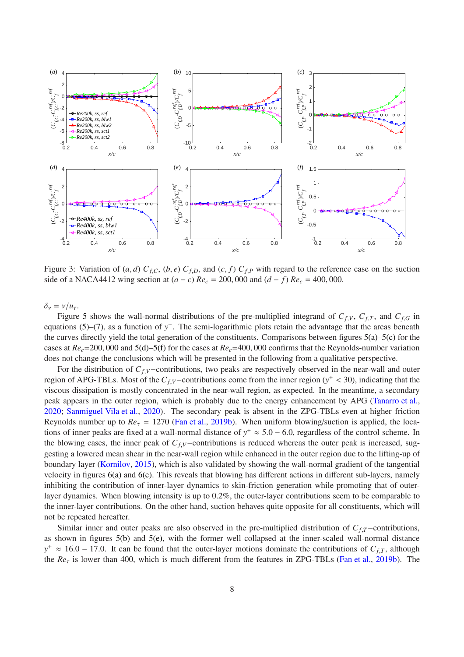<span id="page-7-1"></span>

<span id="page-7-0"></span>Figure 3: Variation of  $(a, d)$   $C_{f,C}$ ,  $(b, e)$   $C_{f,D}$ , and  $(c, f)$   $C_{f,P}$  with regard to the reference case on the suction side of a NACA4412 wing section at  $(a − c)$   $Re_c = 200,000$  and  $(d − f)$   $Re_c = 400,000$ .

δ<sup>ν</sup> = ν/*u*τ.

Figure [5](#page-9-0) shows the wall-normal distributions of the pre-multiplied integrand of  $C_{f,V}$ ,  $C_{f,T}$ , and  $C_{f,G}$  in equations  $(5)-(7)$  $(5)-(7)$ , as a function of  $y^+$ . The semi-logarithmic plots retain the advantage that the areas beneath the curves directly yield the total generation of the constituents. Comparisons between figures [5\(a\)](#page-9-1)[–5\(c\)](#page-9-2) for the cases at *Rec*=200, 000 and [5\(d\)–](#page-9-3)[5\(f\)](#page-9-4) for the cases at *Rec*=400, 000 confirms that the Reynolds-number variation does not change the conclusions which will be presented in the following from a qualitative perspective.

For the distribution of *Cf*,*V*−contributions, two peaks are respectively observed in the near-wall and outer region of APG-TBLs. Most of the  $C_{f,V}$ -contributions come from the inner region ( $y^+$  < 30), indicating that the viscous dissipation is mostly concentrated in the near-wall region, as expected. In the meantime, a secondary peak appears in the outer region, which is probably due to the energy enhancement by APG [\(Tanarro et al.,](#page-19-15) [2020](#page-19-15); [Sanmiguel Vila et al.](#page-19-22), [2020](#page-19-22)). The secondary peak is absent in the ZPG-TBLs even at higher friction Reynolds number up to  $Re_\tau = 1270$  [\(Fan et al.](#page-17-3), [2019b](#page-17-3)). When uniform blowing/suction is applied, the locations of inner peaks are fixed at a wall-normal distance of  $y^+ \approx 5.0 - 6.0$ , regardless of the control scheme. In the blowing cases, the inner peak of  $C_f$ <sub>*V*</sub>−contributions is reduced whereas the outer peak is increased, suggesting a lowered mean shear in the near-wall region while enhanced in the outer region due to the lifting-up of boundary layer [\(Kornilov](#page-18-14), [2015](#page-18-14)), which is also validated by showing the wall-normal gradient of the tangential velocity in figures [6\(a\)](#page-10-0) and [6\(c\).](#page-10-1) This reveals that blowing has different actions in different sub-layers, namely inhibiting the contribution of inner-layer dynamics to skin-friction generation while promoting that of outerlayer dynamics. When blowing intensity is up to 0.2%, the outer-layer contributions seem to be comparable to the inner-layer contributions. On the other hand, suction behaves quite opposite for all constituents, which will not be repeated hereafter.

Similar inner and outer peaks are also observed in the pre-multiplied distribution of *Cf*,*T*−contributions, as shown in figures [5\(b\)](#page-9-5) and [5\(e\),](#page-9-6) with the former well collapsed at the inner-scaled wall-normal distance  $y^+ \approx 16.0 - 17.0$ . It can be found that the outer-layer motions dominate the contributions of  $C_{f,T}$ , although the *Re*<sup>τ</sup> is lower than 400, which is much different from the features in ZPG-TBLs [\(Fan et al.,](#page-17-3) [2019b](#page-17-3)). The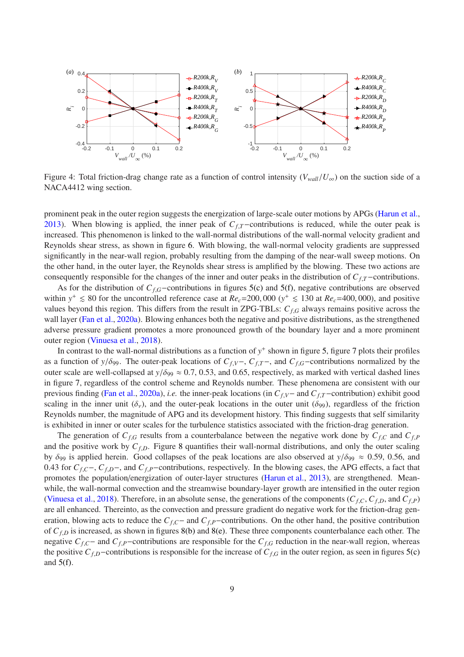

<span id="page-8-0"></span>Figure 4: Total friction-drag change rate as a function of control intensity ( $V_{wall}/U_{\infty}$ ) on the suction side of a NACA4412 wing section.

prominent peak in the outer region suggests the energization of large-scale outer motions by APGs [\(Harun et al.,](#page-17-9) [2013](#page-17-9)). When blowing is applied, the inner peak of *C*<sub>*f*</sub>,*T*−contributions is reduced, while the outer peak is increased. This phenomenon is linked to the wall-normal distributions of the wall-normal velocity gradient and Reynolds shear stress, as shown in figure [6.](#page-10-2) With blowing, the wall-normal velocity gradients are suppressed significantly in the near-wall region, probably resulting from the damping of the near-wall sweep motions. On the other hand, in the outer layer, the Reynolds shear stress is amplified by the blowing. These two actions are consequently responsible for the changes of the inner and outer peaks in the distribution of *Cf*,*T*−contributions.

As for the distribution of *Cf*,*G*−contributions in figures [5\(c\)](#page-9-2) and [5\(f\),](#page-9-4) negative contributions are observed within  $y^+ \le 80$  for the uncontrolled reference case at  $Re_c$ =200,000 ( $y^+ \le 130$  at  $Re_c$ =400,000), and positive values beyond this region. This differs from the result in ZPG-TBLs: *Cf*,*<sup>G</sup>* always remains positive across the wall layer [\(Fan et al.](#page-17-5), [2020a](#page-17-5)). Blowing enhances both the negative and positive distributions, as the strengthened adverse pressure gradient promotes a more pronounced growth of the boundary layer and a more prominent outer region [\(Vinuesa et al.,](#page-19-8) [2018](#page-19-8)).

In contrast to the wall-normal distributions as a function of  $y^+$  shown in figure [5,](#page-9-0) figure [7](#page-11-0) plots their profiles as a function of *y*/ $\delta$ <sub>99</sub>. The outer-peak locations of  $C_{f,V}$ −,  $C_{f,T}$ −, and  $C_{f,G}$ −contributions normalized by the outer scale are well-collapsed at  $y/\delta_{99} \approx 0.7, 0.53$ , and 0.65, respectively, as marked with vertical dashed lines in figure [7,](#page-11-0) regardless of the control scheme and Reynolds number. These phenomena are consistent with our previous finding [\(Fan et al.,](#page-17-5) [2020a](#page-17-5)), *i.e.* the inner-peak locations (in *Cf*,*V*− and *Cf*,*T*−contribution) exhibit good scaling in the inner unit ( $\delta_y$ ), and the outer-peak locations in the outer unit ( $\delta_{99}$ ), regardless of the friction Reynolds number, the magnitude of APG and its development history. This finding suggests that self similarity is exhibited in inner or outer scales for the turbulence statistics associated with the friction-drag generation.

The generation of  $C_{f,G}$  results from a counterbalance between the negative work done by  $C_{f,C}$  and  $C_{f,P}$ and the positive work by  $C_{f,D}$ . Figure [8](#page-12-1) quantifies their wall-normal distributions, and only the outer scaling by  $\delta_{99}$  is applied herein. Good collapses of the peak locations are also observed at  $y/\delta_{99} \approx 0.59$ , 0.56, and 0.43 for *Cf*,*C*−, *Cf*,*D*−, and *Cf*,*P*−contributions, respectively. In the blowing cases, the APG effects, a fact that promotes the population/energization of outer-layer structures [\(Harun et al.](#page-17-9), [2013](#page-17-9)), are strengthened. Meanwhile, the wall-normal convection and the streamwise boundary-layer growth are intensified in the outer region [\(Vinuesa et al.](#page-19-8), [2018](#page-19-8)). Therefore, in an absolute sense, the generations of the components ( $C_{f,C}$ ,  $C_{f,D}$ , and  $C_{f,P}$ ) are all enhanced. Thereinto, as the convection and pressure gradient do negative work for the friction-drag generation, blowing acts to reduce the  $C_{f,C}$ − and  $C_{f,P}$ −contributions. On the other hand, the positive contribution of  $C_{f,D}$  is increased, as shown in figures [8\(b\)](#page-12-2) and [8\(e\).](#page-12-3) These three components counterbalance each other. The negative *Cf*,*C*− and *Cf*,*P*−contributions are responsible for the *Cf*,*<sup>G</sup>* reduction in the near-wall region, whereas the positive  $C_{f,D}$ −contributions is responsible for the increase of  $C_{f,G}$  in the outer region, as seen in figures [5\(c\)](#page-9-2) and  $5(f)$ .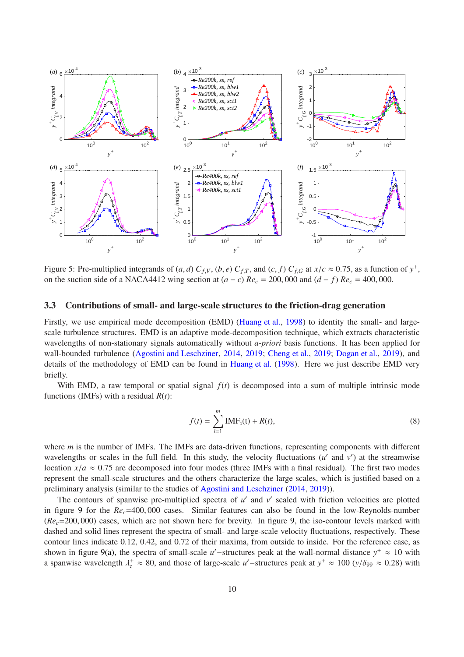<span id="page-9-5"></span><span id="page-9-2"></span><span id="page-9-1"></span>

<span id="page-9-6"></span><span id="page-9-3"></span><span id="page-9-0"></span>Figure 5: Pre-multiplied integrands of  $(a, d)$   $C_{f,V}$ ,  $(b, e)$   $C_{f,T}$ , and  $(c, f)$   $C_{f,G}$  at  $x/c \approx 0.75$ , as a function of  $y^+$ , on the suction side of a NACA4412 wing section at  $(a − c)$   $Re_c = 200,000$  and  $(d − f)$   $Re_c = 400,000$ .

#### 3.3 Contributions of small- and large-scale structures to the friction-drag generation

Firstly, we use empirical mode decomposition (EMD) [\(Huang et al.,](#page-17-7) [1998](#page-17-7)) to identity the small- and largescale turbulence structures. EMD is an adaptive mode-decomposition technique, which extracts characteristic wavelengths of non-stationary signals automatically without *a-priori* basis functions. It has been applied for wall-bounded turbulence [\(Agostini and Leschziner](#page-16-7), [2014](#page-16-7), [2019;](#page-16-9) [Cheng et al.](#page-16-5), [2019](#page-16-10); [Dogan et al.](#page-16-10), 2019), and details of the methodology of EMD can be found in [Huang et al.](#page-17-7) [\(1998](#page-17-7)). Here we just describe EMD very briefly.

With EMD, a raw temporal or spatial signal  $f(t)$  is decomposed into a sum of multiple intrinsic mode functions (IMFs) with a residual *R*(*t*):

<span id="page-9-4"></span>
$$
f(t) = \sum_{i=1}^{m} \text{IMF}_{i}(t) + R(t),
$$
\n(8)

where *m* is the number of IMFs. The IMFs are data-driven functions, representing components with different wavelengths or scales in the full field. In this study, the velocity fluctuations  $(u'$  and  $v')$  at the streamwise location  $x/a \approx 0.75$  are decomposed into four modes (three IMFs with a final residual). The first two modes represent the small-scale structures and the others characterize the large scales, which is justified based on a preliminary analysis (similar to the studies of [Agostini and Leschziner](#page-16-7) [\(2014,](#page-16-7) [2019](#page-16-9))).

The contours of spanwise pre-multiplied spectra of  $u'$  and  $v'$  scaled with friction velocities are plotted in figure [9](#page-13-1) for the  $Re<sub>c</sub> = 400,000$  cases. Similar features can also be found in the low-Reynolds-number (*Rec*=200, 000) cases, which are not shown here for brevity. In figure [9,](#page-13-1) the iso-contour levels marked with dashed and solid lines represent the spectra of small- and large-scale velocity fluctuations, respectively. These contour lines indicate 0.12, 0.42, and 0.72 of their maxima, from outside to inside. For the reference case, as shown in figure [9\(a\),](#page-13-2) the spectra of small-scale *u'* -structures peak at the wall-normal distance  $y^+ \approx 10$  with a spanwise wavelength  $\lambda_z^+ \approx 80$ , and those of large-scale *u'* -structures peak at  $y^+ \approx 100$  ( $y/\delta_{99} \approx 0.28$ ) with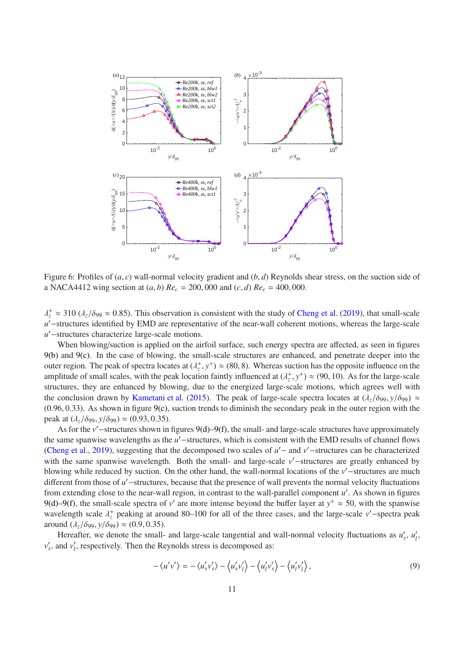<span id="page-10-0"></span>

<span id="page-10-2"></span><span id="page-10-1"></span>Figure 6: Profiles of (*a*, *c*) wall-normal velocity gradient and (*b*, *d*) Reynolds shear stress, on the suction side of a NACA4412 wing section at  $(a, b)$   $Re_c = 200,000$  and  $(c, d)$   $Re_c = 400,000$ .

 $\lambda_z^+ \approx 310 \, (\lambda_z/\delta_{99} \approx 0.85)$ . This observation is consistent with the study of [Cheng et al.](#page-16-5) [\(2019](#page-16-5)), that small-scale *u* ′−structures identified by EMD are representative of the near-wall coherent motions, whereas the large-scale *u* ′−structures characterize large-scale motions.

When blowing/suction is applied on the airfoil surface, such energy spectra are affected, as seen in figures [9\(b\)](#page-13-3) and [9\(c\).](#page-13-4) In the case of blowing, the small-scale structures are enhanced, and penetrate deeper into the outer region. The peak of spectra locates at  $(\lambda_z^+, y^+) \approx (80, 8)$ . Whereas suction has the opposite influence on the amplitude of small scales, with the peak location faintly influenced at  $(\lambda_z^+, y^+) \approx (90, 10)$ . As for the large-scale structures, they are enhanced by blowing, due to the energized large-scale motions, which agrees well with the conclusion drawn by [Kametani et al.](#page-18-5) [\(2015](#page-18-5)). The peak of large-scale spectra locates at  $(\lambda_z/\delta_{99}, y/\delta_{99}) \approx$  $(0.96, 0.33)$ . As shown in figure  $9(c)$ , suction trends to diminish the secondary peak in the outer region with the peak at  $(λ_z / δ_{99}, y / δ_{99}) \approx (0.93, 0.35)$ .

As for the *v* ′−structures shown in figures [9\(d\)](#page-13-5)[–9\(f\),](#page-13-6) the small- and large-scale structures have approximately the same spanwise wavelengths as the *u'* − structures, which is consistent with the EMD results of channel flows [\(Cheng et al.,](#page-16-5) [2019](#page-16-5)), suggesting that the decomposed two scales of *u* ′− and *v* ′−structures can be characterized with the same spanwise wavelength. Both the small- and large-scale *v*'−structures are greatly enhanced by blowing while reduced by suction. On the other hand, the wall-normal locations of the *v* ′−structures are much different from those of *u* ′−structures, because that the presence of wall prevents the normal velocity fluctuations from extending close to the near-wall region, in contrast to the wall-parallel component *u'*. As shown in figures [9\(d\)](#page-13-5)[–9\(f\),](#page-13-6) the small-scale spectra of *v'* are more intense beyond the buffer layer at  $y^+ \approx 50$ , with the spanwise wavelength scale  $\lambda_z^+$  peaking at around 80–100 for all of the three cases, and the large-scale *v*'-spectra peak around  $(\lambda_z/\delta_{99}, y/\delta_{99}) \approx (0.9, 0.35)$ .

Hereafter, we denote the small- and large-scale tangential and wall-normal velocity fluctuations as  $u'_s$ ,  $u'_l$ *l* ,  $v'_s$ , and  $v'_l$ *l* , respectively. Then the Reynolds stress is decomposed as:

$$
-\langle u'v'\rangle = -\langle u'_s v'_s\rangle - \langle u'_s v'_l\rangle - \langle u'_l v'_s\rangle - \langle u'_l v'_l\rangle, \tag{9}
$$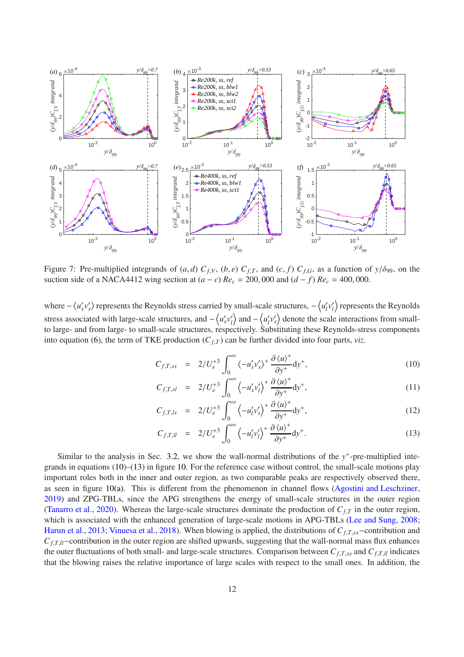

<span id="page-11-0"></span>Figure 7: Pre-multiplied integrands of  $(a, d)$   $C_{f,V}$ ,  $(b, e)$   $C_{f,T}$ , and  $(c, f)$   $C_{f,G}$ , as a function of  $y/\delta$ 99, on the suction side of a NACA4412 wing section at  $(a - c)$   $Re_c = 200,000$  and  $(d - f)$   $Re_c = 400,000$ .

where  $-\langle u'_s v'_s \rangle$  represents the Reynolds stress carried by small-scale structures,  $-\langle u'_l \rangle$ *l v* ′  $\binom{n}{l}$  represents the Reynolds stress associated with large-scale structures, and  $-\langle u'_s v'_l \rangle$  $\langle u_l' \rangle$  and  $-\langle u_l' \rangle$  $\langle v_s' \rangle$  denote the scale interactions from smallto large- and from large- to small-scale structures, respectively. Substituting these Reynolds-stress components into equation [\(6\)](#page-6-8), the term of TKE production  $(C_f)$  can be further divided into four parts, *viz.* 

<span id="page-11-1"></span>
$$
C_{f,T,ss} = 2/U_e^{+3} \int_0^\infty \langle -u'_s v'_s \rangle^+ \frac{\partial \langle u \rangle^+}{\partial y^+} dy^+, \tag{10}
$$

$$
C_{f,T,sl} = 2/U_e^{+3} \int_0^\infty \left\langle -u'_s v'_l \right\rangle^+ \frac{\partial \left\langle u \right\rangle^+}{\partial y^+} dy^+, \tag{11}
$$

$$
C_{f,T,ls} = 2/U_e^{+3} \int_0^\infty \left\langle -u'_l v'_s \right\rangle^+ \frac{\partial \left\langle u \right\rangle^+}{\partial y^+} dy^+, \tag{12}
$$

$$
C_{f,T,ll} = 2/U_e^{+3} \int_0^\infty \left\langle -u'_l v'_l \right\rangle^+ \frac{\partial \left\langle u \right\rangle^+}{\partial y^+} dy^+. \tag{13}
$$

Similar to the analysis in Sec. [3.2,](#page-6-7) we show the wall-normal distributions of the  $y^+$ -pre-multiplied integrands in equations [\(10\)](#page-11-1)–[\(13\)](#page-11-1) in figure [10.](#page-14-0) For the reference case without control, the small-scale motions play important roles both in the inner and outer region, as two comparable peaks are respectively observed there, as seen in figure [10\(a\).](#page-14-1) This is different from the phenomenon in channel flows [\(Agostini and Leschziner,](#page-16-9) [2019](#page-16-9)) and ZPG-TBLs, since the APG strengthens the energy of small-scale structures in the outer region [\(Tanarro et al.,](#page-19-15) [2020](#page-19-15)). Whereas the large-scale structures dominate the production of  $C_{f,T}$  in the outer region, which is associated with the enhanced generation of large-scale motions in APG-TBLs [\(Lee and Sung,](#page-18-15) [2008](#page-18-15); [Harun et al.,](#page-17-9) [2013;](#page-17-9) [Vinuesa et al.](#page-19-8), [2018](#page-19-8)). When blowing is applied, the distributions of *Cf*,*T*,*ss*−contribution and *C*<sub>f</sub>,*T*,*ll*−contribution in the outer region are shifted upwards, suggesting that the wall-normal mass flux enhances the outer fluctuations of both small- and large-scale structures. Comparison between  $C_{f,T,ss}$  and  $C_{f,T,ll}$  indicates that the blowing raises the relative importance of large scales with respect to the small ones. In addition, the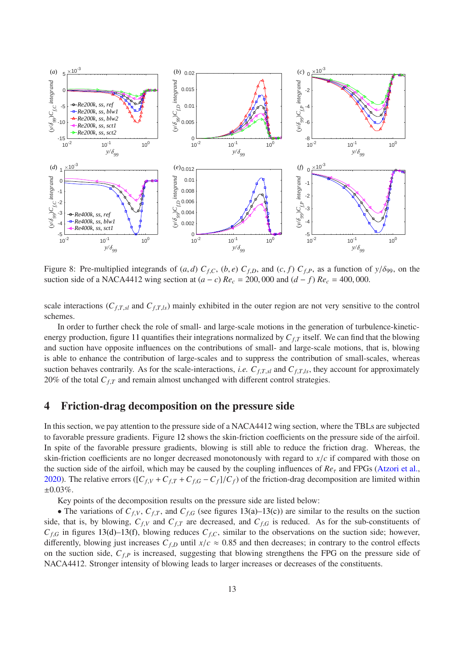<span id="page-12-2"></span>

<span id="page-12-3"></span><span id="page-12-1"></span>Figure 8: Pre-multiplied integrands of  $(a, d)$   $C_{f,C}$ ,  $(b, e)$   $C_{f,D}$ , and  $(c, f)$   $C_{f,P}$ , as a function of  $y/\delta_{99}$ , on the suction side of a NACA4412 wing section at  $(a - c)$   $Re<sub>c</sub> = 200,000$  and  $(d - f)$   $Re<sub>c</sub> = 400,000$ .

scale interactions ( $C_{f,T,sl}$  and  $C_{f,T,ls}$ ) mainly exhibited in the outer region are not very sensitive to the control schemes.

In order to further check the role of small- and large-scale motions in the generation of turbulence-kineticenergy production, figure [11](#page-14-2) quantifies their integrations normalized by *Cf*,*<sup>T</sup>* itself. We can find that the blowing and suction have opposite influences on the contributions of small- and large-scale motions, that is, blowing is able to enhance the contribution of large-scales and to suppress the contribution of small-scales, whereas suction behaves contrarily. As for the scale-interactions, *i.e.*  $C_{f,T,s}$  and  $C_{f,T,l,s}$ , they account for approximately 20% of the total  $C_{f,T}$  and remain almost unchanged with different control strategies.

## <span id="page-12-0"></span>4 Friction-drag decomposition on the pressure side

In this section, we pay attention to the pressure side of a NACA4412 wing section, where the TBLs are subjected to favorable pressure gradients. Figure [12](#page-15-0) shows the skin-friction coefficients on the pressure side of the airfoil. In spite of the favorable pressure gradients, blowing is still able to reduce the friction drag. Whereas, the skin-friction coefficients are no longer decreased monotonously with regard to *x*/*c* if compared with those on the suction side of the airfoil, which may be caused by the coupling influences of  $Re<sub>\tau</sub>$  and FPGs [\(Atzori et al.,](#page-16-2) [2020](#page-16-2)). The relative errors ( $[C_{f,V} + C_{f,T} + C_{f,G} - C_f]/C_f$ ) of the friction-drag decomposition are limited within ±0.03%.

Key points of the decomposition results on the pressure side are listed below:

• The variations of  $C_{f,V}$ ,  $C_{f,T}$ , and  $C_{f,G}$  (see figures [13\(a\)–](#page-16-13)[13\(c\)\)](#page-16-14) are similar to the results on the suction side, that is, by blowing,  $C_{f,V}$  and  $C_{f,T}$  are decreased, and  $C_{f,G}$  is reduced. As for the sub-constituents of  $C_{f,G}$  in figures [13\(d\)](#page-16-15)[–13\(f\),](#page-16-16) blowing reduces  $C_{f,C}$ , similar to the observations on the suction side; however, differently, blowing just increases  $C_{f,D}$  until  $x/c \approx 0.85$  and then decreases; in contrary to the control effects on the suction side, *Cf*,*<sup>P</sup>* is increased, suggesting that blowing strengthens the FPG on the pressure side of NACA4412. Stronger intensity of blowing leads to larger increases or decreases of the constituents.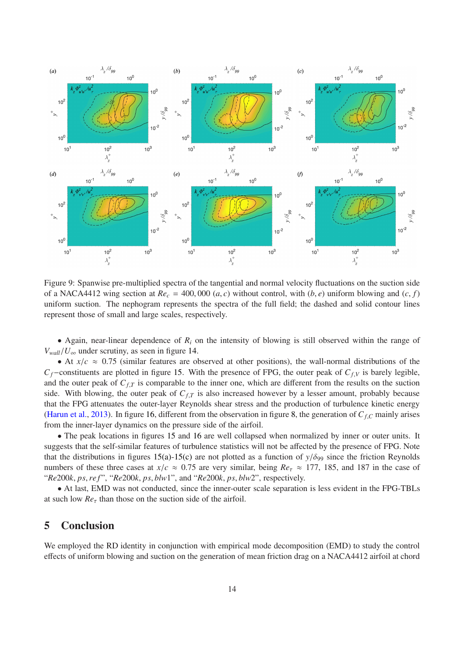<span id="page-13-4"></span><span id="page-13-3"></span><span id="page-13-2"></span>

<span id="page-13-6"></span><span id="page-13-5"></span><span id="page-13-1"></span>Figure 9: Spanwise pre-multiplied spectra of the tangential and normal velocity fluctuations on the suction side of a NACA4412 wing section at  $Re_c = 400,000$  (*a*, *c*) without control, with (*b*, *e*) uniform blowing and (*c*, *f*) uniform suction. The nephogram represents the spectra of the full field; the dashed and solid contour lines represent those of small and large scales, respectively.

• Again, near-linear dependence of  $R_i$  on the intensity of blowing is still observed within the range of  $V_{wall}/U_{\infty}$  under scrutiny, as seen in figure [14.](#page-17-10)

• At  $x/c \approx 0.75$  (similar features are observed at other positions), the wall-normal distributions of the *Cf*−constituents are plotted in figure [15.](#page-17-11) With the presence of FPG, the outer peak of *Cf*,*<sup>V</sup>* is barely legible, and the outer peak of  $C_{f,T}$  is comparable to the inner one, which are different from the results on the suction side. With blowing, the outer peak of  $C_{f,T}$  is also increased however by a lesser amount, probably because that the FPG attenuates the outer-layer Reynolds shear stress and the production of turbulence kinetic energy [\(Harun et al.](#page-17-9), [2013](#page-17-9)). In figure [16,](#page-18-16) different from the observation in figure [8,](#page-12-1) the generation of *Cf*,*<sup>C</sup>* mainly arises from the inner-layer dynamics on the pressure side of the airfoil.

• The peak locations in figures [15](#page-17-11) and [16](#page-18-16) are well collapsed when normalized by inner or outer units. It suggests that the self-similar features of turbulence statistics will not be affected by the presence of FPG. Note that the distributions in figures [15\(a\)](#page-17-12)[-15\(c\)](#page-17-13) are not plotted as a function of  $y/\delta_{99}$  since the friction Reynolds numbers of these three cases at  $x/c \approx 0.75$  are very similar, being  $Re_\tau \approx 177$ , 185, and 187 in the case of "*Re*200*k*, *ps*,*re f* ", "*Re*200*k*, *ps*, *blw*1", and "*Re*200*k*, *ps*, *blw*2", respectively.

• At last, EMD was not conducted, since the inner-outer scale separation is less evident in the FPG-TBLs at such low  $Re<sub>\tau</sub>$  than those on the suction side of the airfoil.

## <span id="page-13-0"></span>5 Conclusion

We employed the RD identity in conjunction with empirical mode decomposition (EMD) to study the control effects of uniform blowing and suction on the generation of mean friction drag on a NACA4412 airfoil at chord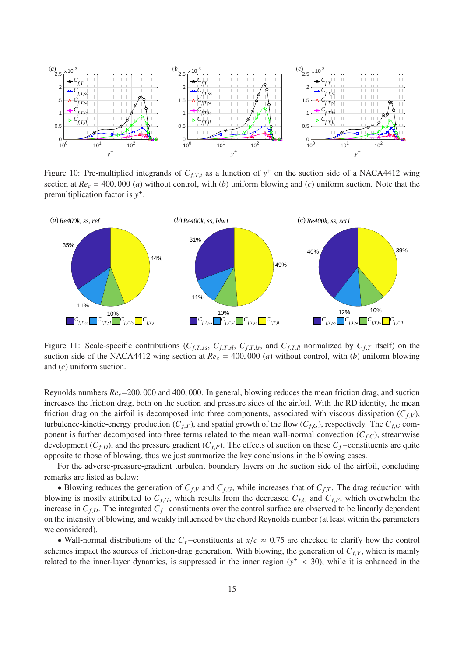<span id="page-14-1"></span>

<span id="page-14-0"></span>Figure 10: Pre-multiplied integrands of  $C_{f,T,i}$  as a function of  $y^+$  on the suction side of a NACA4412 wing section at  $Re_c = 400,000$  (*a*) without control, with (*b*) uniform blowing and (*c*) uniform suction. Note that the premultiplication factor is *y* + .



<span id="page-14-2"></span>Figure 11: Scale-specific contributions ( $C_{f,T,ss}$ ,  $C_{f,T,sl}$ ,  $C_{f,T,ls}$ , and  $C_{f,T,ll}$  normalized by  $C_{f,T}$  itself) on the suction side of the NACA4412 wing section at  $Re<sub>c</sub> = 400,000$  (*a*) without control, with (*b*) uniform blowing and (*c*) uniform suction.

Reynolds numbers *Rec*=200, 000 and 400, 000. In general, blowing reduces the mean friction drag, and suction increases the friction drag, both on the suction and pressure sides of the airfoil. With the RD identity, the mean friction drag on the airfoil is decomposed into three components, associated with viscous dissipation  $(C_f, V)$ , turbulence-kinetic-energy production ( $C_{f,T}$ ), and spatial growth of the flow ( $C_{f,G}$ ), respectively. The  $C_{f,G}$  component is further decomposed into three terms related to the mean wall-normal convection  $(C_{f,C})$ , streamwise development ( $C_{f,D}$ ), and the pressure gradient ( $C_{f,P}$ ). The effects of suction on these  $C_f$ −constituents are quite opposite to those of blowing, thus we just summarize the key conclusions in the blowing cases.

For the adverse-pressure-gradient turbulent boundary layers on the suction side of the airfoil, concluding remarks are listed as below:

• Blowing reduces the generation of  $C_{f,V}$  and  $C_{f,G}$ , while increases that of  $C_{f,T}$ . The drag reduction with blowing is mostly attributed to  $C_{f,G}$ , which results from the decreased  $C_{f,C}$  and  $C_{f,P}$ , which overwhelm the increase in  $C_{f,D}$ . The integrated  $C_f$ −constituents over the control surface are observed to be linearly dependent on the intensity of blowing, and weakly influenced by the chord Reynolds number (at least within the parameters we considered).

• Wall-normal distributions of the *Cf*−constituents at *x*/*c* ≈ 0.75 are checked to clarify how the control schemes impact the sources of friction-drag generation. With blowing, the generation of  $C_f$ , which is mainly related to the inner-layer dynamics, is suppressed in the inner region  $(y^+ < 30)$ , while it is enhanced in the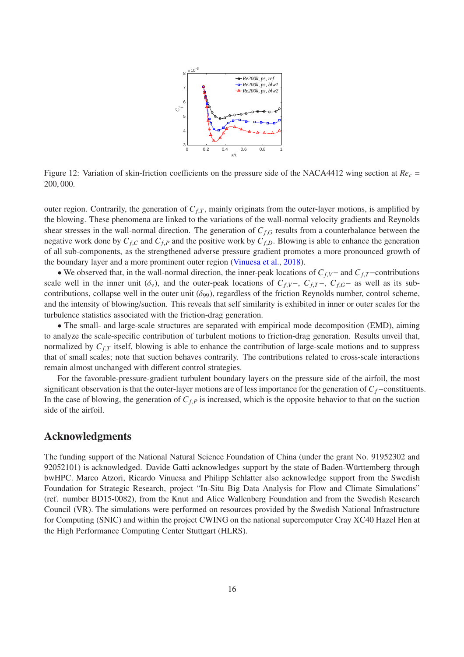

<span id="page-15-0"></span>Figure 12: Variation of skin-friction coefficients on the pressure side of the NACA4412 wing section at *Re<sup>c</sup>* = 200, 000.

outer region. Contrarily, the generation of  $C_f$ , mainly originats from the outer-layer motions, is amplified by the blowing. These phenomena are linked to the variations of the wall-normal velocity gradients and Reynolds shear stresses in the wall-normal direction. The generation of *Cf*,*<sup>G</sup>* results from a counterbalance between the negative work done by  $C_{f,C}$  and  $C_{f,P}$  and the positive work by  $C_{f,D}$ . Blowing is able to enhance the generation of all sub-components, as the strengthened adverse pressure gradient promotes a more pronounced growth of the boundary layer and a more prominent outer region [\(Vinuesa et al.](#page-19-8), [2018](#page-19-8)).

• We observed that, in the wall-normal direction, the inner-peak locations of *Cf*,*V*− and *Cf*,*T*−contributions scale well in the inner unit  $(\delta_v)$ , and the outer-peak locations of  $C_{f,V}$ ,  $C_{f,T}$ ,  $C_{f,G}$  as well as its subcontributions, collapse well in the outer unit  $(\delta_{99})$ , regardless of the friction Reynolds number, control scheme, and the intensity of blowing/suction. This reveals that self similarity is exhibited in inner or outer scales for the turbulence statistics associated with the friction-drag generation.

• The small- and large-scale structures are separated with empirical mode decomposition (EMD), aiming to analyze the scale-specific contribution of turbulent motions to friction-drag generation. Results unveil that, normalized by  $C_{f,T}$  itself, blowing is able to enhance the contribution of large-scale motions and to suppress that of small scales; note that suction behaves contrarily. The contributions related to cross-scale interactions remain almost unchanged with different control strategies.

For the favorable-pressure-gradient turbulent boundary layers on the pressure side of the airfoil, the most significant observation is that the outer-layer motions are of less importance for the generation of *Cf*−constituents. In the case of blowing, the generation of  $C_{f,P}$  is increased, which is the opposite behavior to that on the suction side of the airfoil.

## Acknowledgments

The funding support of the National Natural Science Foundation of China (under the grant No. 91952302 and 92052101) is acknowledged. Davide Gatti acknowledges support by the state of Baden-Württemberg through bwHPC. Marco Atzori, Ricardo Vinuesa and Philipp Schlatter also acknowledge support from the Swedish Foundation for Strategic Research, project "In-Situ Big Data Analysis for Flow and Climate Simulations" (ref. number BD15-0082), from the Knut and Alice Wallenberg Foundation and from the Swedish Research Council (VR). The simulations were performed on resources provided by the Swedish National Infrastructure for Computing (SNIC) and within the project CWING on the national supercomputer Cray XC40 Hazel Hen at the High Performance Computing Center Stuttgart (HLRS).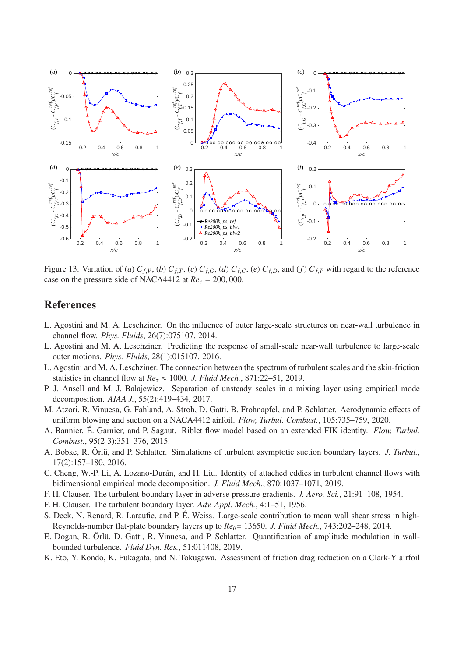<span id="page-16-14"></span><span id="page-16-13"></span>

<span id="page-16-16"></span><span id="page-16-15"></span>Figure 13: Variation of (a)  $C_{f,V}$ , (b)  $C_{f,T}$ , (c)  $C_{f,G}$ , (d)  $C_{f,C}$ , (e)  $C_{f,D}$ , and (f)  $C_{f,P}$  with regard to the reference case on the pressure side of NACA4412 at  $Re_c = 200,000$ .

# **References**

- <span id="page-16-7"></span>L. Agostini and M. A. Leschziner. On the influence of outer large-scale structures on near-wall turbulence in channel flow. *Phys. Fluids*, 26(7):075107, 2014.
- <span id="page-16-8"></span>L. Agostini and M. A. Leschziner. Predicting the response of small-scale near-wall turbulence to large-scale outer motions. *Phys. Fluids*, 28(1):015107, 2016.
- <span id="page-16-9"></span>L. Agostini and M. A. Leschziner. The connection between the spectrum of turbulent scales and the skin-friction statistics in channel flow at  $Re_\tau \approx 1000$ . *J. Fluid Mech.*, 871:22–51, 2019.
- <span id="page-16-6"></span>P. J. Ansell and M. J. Balajewicz. Separation of unsteady scales in a mixing layer using empirical mode decomposition. *AIAA J.*, 55(2):419–434, 2017.
- <span id="page-16-2"></span>M. Atzori, R. Vinuesa, G. Fahland, A. Stroh, D. Gatti, B. Frohnapfel, and P. Schlatter. Aerodynamic effects of uniform blowing and suction on a NACA4412 airfoil. *Flow, Turbul. Combust.*, 105:735–759, 2020.
- <span id="page-16-3"></span>A. Bannier, É. Garnier, and P. Sagaut. Riblet flow model based on an extended FIK identity. *Flow, Turbul. Combust.*, 95(2-3):351–376, 2015.
- <span id="page-16-0"></span>A. Bobke, R. Örlü, and P. Schlatter. Simulations of turbulent asymptotic suction boundary layers. *J. Turbul.*, 17(2):157–180, 2016.
- <span id="page-16-5"></span>C. Cheng, W.-P. Li, A. Lozano-Durán, and H. Liu. Identity of attached eddies in turbulent channel flows with bidimensional empirical mode decomposition. *J. Fluid Mech.*, 870:1037–1071, 2019.
- <span id="page-16-11"></span>F. H. Clauser. The turbulent boundary layer in adverse pressure gradients. *J. Aero. Sci.*, 21:91–108, 1954.
- <span id="page-16-12"></span>F. H. Clauser. The turbulent boundary layer. *Adv. Appl. Mech.*, 4:1–51, 1956.
- <span id="page-16-4"></span>S. Deck, N. Renard, R. Laraufie, and P. É. Weiss. Large-scale contribution to mean wall shear stress in high-Reynolds-number flat-plate boundary layers up to *Re<sub>θ</sub>*= 13650. *J. Fluid Mech.*, 743:202–248, 2014.
- <span id="page-16-10"></span>E. Dogan, R. Örlü, D. Gatti, R. Vinuesa, and P. Schlatter. Quantification of amplitude modulation in wallbounded turbulence. *Fluid Dyn. Res.*, 51:011408, 2019.
- <span id="page-16-1"></span>K. Eto, Y. Kondo, K. Fukagata, and N. Tokugawa. Assessment of friction drag reduction on a Clark-Y airfoil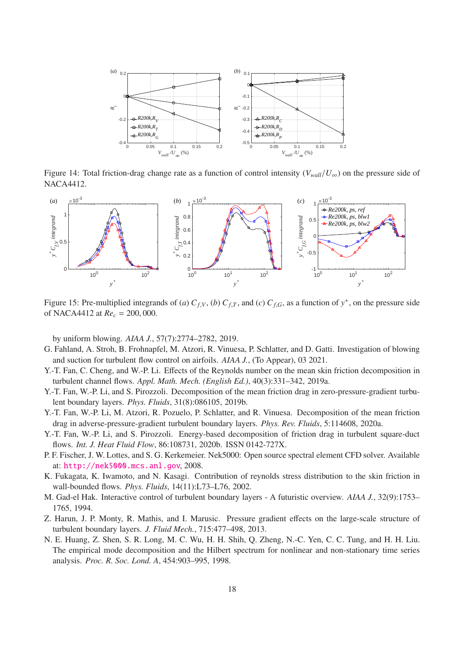

<span id="page-17-10"></span>Figure 14: Total friction-drag change rate as a function of control intensity ( $V_{wall}/U_{\infty}$ ) on the pressure side of NACA4412.

<span id="page-17-12"></span>

<span id="page-17-11"></span>Figure 15: Pre-multiplied integrands of (*a*)  $C_{f,V}$ , (*b*)  $C_{f,T}$ , and (*c*)  $C_{f,G}$ , as a function of  $y^+$ , on the pressure side of NACA4412 at *Re<sup>c</sup>* = 200, 000.

<span id="page-17-13"></span>by uniform blowing. *AIAA J.*, 57(7):2774–2782, 2019.

- <span id="page-17-1"></span>G. Fahland, A. Stroh, B. Frohnapfel, M. Atzori, R. Vinuesa, P. Schlatter, and D. Gatti. Investigation of blowing and suction for turbulent flow control on airfoils. *AIAA J.*, (To Appear), 03 2021.
- <span id="page-17-2"></span>Y.-T. Fan, C. Cheng, and W.-P. Li. Effects of the Reynolds number on the mean skin friction decomposition in turbulent channel flows. *Appl. Math. Mech. (English Ed.)*, 40(3):331–342, 2019a.
- <span id="page-17-3"></span>Y.-T. Fan, W.-P. Li, and S. Pirozzoli. Decomposition of the mean friction drag in zero-pressure-gradient turbulent boundary layers. *Phys. Fluids*, 31(8):086105, 2019b.
- <span id="page-17-5"></span>Y.-T. Fan, W.-P. Li, M. Atzori, R. Pozuelo, P. Schlatter, and R. Vinuesa. Decomposition of the mean friction drag in adverse-pressure-gradient turbulent boundary layers. *Phys. Rev. Fluids*, 5:114608, 2020a.
- <span id="page-17-6"></span>Y.-T. Fan, W.-P. Li, and S. Pirozzoli. Energy-based decomposition of friction drag in turbulent square-duct flows. *Int. J. Heat Fluid Flow*, 86:108731, 2020b. ISSN 0142-727X.
- <span id="page-17-8"></span>P. F. Fischer, J. W. Lottes, and S. G. Kerkemeier. Nek5000: Open source spectral element CFD solver. Available at: <http://nek5000.mcs.anl.gov>, 2008.
- <span id="page-17-4"></span>K. Fukagata, K. Iwamoto, and N. Kasagi. Contribution of reynolds stress distribution to the skin friction in wall-bounded flows. *Phys. Fluids*, 14(11):L73–L76, 2002.
- <span id="page-17-0"></span>M. Gad-el Hak. Interactive control of turbulent boundary layers - A futuristic overview. *AIAA J.*, 32(9):1753– 1765, 1994.
- <span id="page-17-9"></span>Z. Harun, J. P. Monty, R. Mathis, and I. Marusic. Pressure gradient effects on the large-scale structure of turbulent boundary layers. *J. Fluid Mech.*, 715:477–498, 2013.
- <span id="page-17-7"></span>N. E. Huang, Z. Shen, S. R. Long, M. C. Wu, H. H. Shih, Q. Zheng, N.-C. Yen, C. C. Tung, and H. H. Liu. The empirical mode decomposition and the Hilbert spectrum for nonlinear and non-stationary time series analysis. *Proc. R. Soc. Lond. A*, 454:903–995, 1998.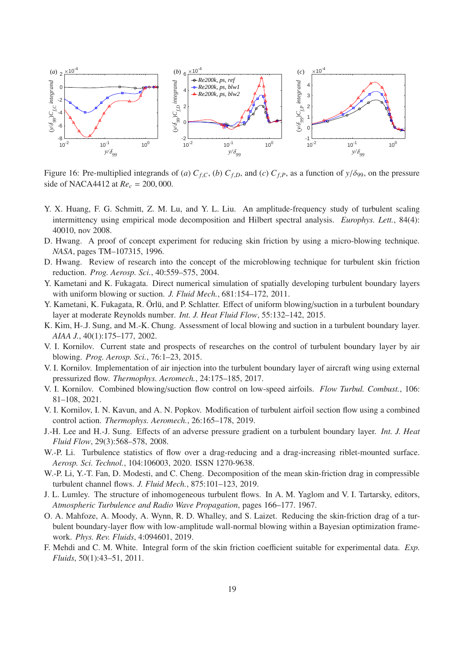

<span id="page-18-16"></span>Figure 16: Pre-multiplied integrands of (*a*)  $C_{f,C}$ , (*b*)  $C_{f,D}$ , and (*c*)  $C_{f,P}$ , as a function of  $y/\delta_{99}$ , on the pressure side of NACA4412 at *Re<sup>c</sup>* = 200, 000.

- <span id="page-18-13"></span>Y. X. Huang, F. G. Schmitt, Z. M. Lu, and Y. L. Liu. An amplitude-frequency study of turbulent scaling intermittency using empirical mode decomposition and Hilbert spectral analysis. *Europhys. Lett.*, 84(4): 40010, nov 2008.
- <span id="page-18-3"></span>D. Hwang. A proof of concept experiment for reducing skin friction by using a micro-blowing technique. *NASA*, pages TM–107315, 1996.
- <span id="page-18-4"></span>D. Hwang. Review of research into the concept of the microblowing technique for turbulent skin friction reduction. *Prog. Aerosp. Sci.*, 40:559–575, 2004.
- <span id="page-18-2"></span>Y. Kametani and K. Fukagata. Direct numerical simulation of spatially developing turbulent boundary layers with uniform blowing or suction. *J. Fluid Mech.*, 681:154–172, 2011.
- <span id="page-18-5"></span>Y. Kametani, K. Fukagata, R. Örlü, and P. Schlatter. Effect of uniform blowing/suction in a turbulent boundary layer at moderate Reynolds number. *Int. J. Heat Fluid Flow*, 55:132–142, 2015.
- <span id="page-18-1"></span>K. Kim, H-.J. Sung, and M.-K. Chung. Assessment of local blowing and suction in a turbulent boundary layer. *AIAA J.*, 40(1):175–177, 2002.
- <span id="page-18-14"></span>V. I. Kornilov. Current state and prospects of researches on the control of turbulent boundary layer by air blowing. *Prog. Aerosp. Sci.*, 76:1–23, 2015.
- <span id="page-18-6"></span>V. I. Kornilov. Implementation of air injection into the turbulent boundary layer of aircraft wing using external pressurized flow. *Thermophys. Aeromech.*, 24:175–185, 2017.
- <span id="page-18-8"></span>V. I. Kornilov. Combined blowing/suction flow control on low-speed airfoils. *Flow Turbul. Combust.*, 106: 81–108, 2021.
- <span id="page-18-7"></span>V. I. Kornilov, I. N. Kavun, and A. N. Popkov. Modification of turbulent airfoil section flow using a combined control action. *Thermophys. Aeromech.*, 26:165–178, 2019.
- <span id="page-18-15"></span>J.-H. Lee and H.-J. Sung. Effects of an adverse pressure gradient on a turbulent boundary layer. *Int. J. Heat Fluid Flow*, 29(3):568–578, 2008.
- <span id="page-18-0"></span>W.-P. Li. Turbulence statistics of flow over a drag-reducing and a drag-increasing riblet-mounted surface. *Aerosp. Sci. Technol.*, 104:106003, 2020. ISSN 1270-9638.
- <span id="page-18-10"></span>W.-P. Li, Y.-T. Fan, D. Modesti, and C. Cheng. Decomposition of the mean skin-friction drag in compressible turbulent channel flows. *J. Fluid Mech.*, 875:101–123, 2019.
- <span id="page-18-12"></span>J. L. Lumley. The structure of inhomogeneous turbulent flows. In A. M. Yaglom and V. I. Tartarsky, editors, *Atmospheric Turbulence and Radio Wave Propagation*, pages 166–177. 1967.
- <span id="page-18-9"></span>O. A. Mahfoze, A. Moody, A. Wynn, R. D. Whalley, and S. Laizet. Reducing the skin-friction drag of a turbulent boundary-layer flow with low-amplitude wall-normal blowing within a Bayesian optimization framework. *Phys. Rev. Fluids*, 4:094601, 2019.
- <span id="page-18-11"></span>F. Mehdi and C. M. White. Integral form of the skin friction coefficient suitable for experimental data. *Exp. Fluids*, 50(1):43–51, 2011.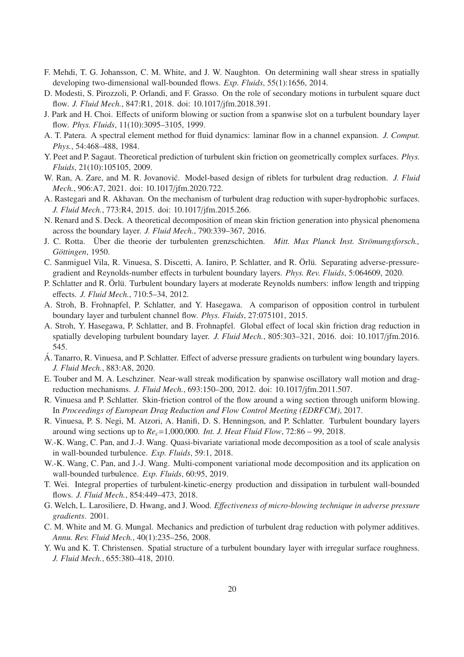- <span id="page-19-9"></span>F. Mehdi, T. G. Johansson, C. M. White, and J. W. Naughton. On determining wall shear stress in spatially developing two-dimensional wall-bounded flows. *Exp. Fluids*, 55(1):1656, 2014.
- <span id="page-19-10"></span>D. Modesti, S. Pirozzoli, P. Orlandi, and F. Grasso. On the role of secondary motions in turbulent square duct flow. *J. Fluid Mech.*, 847:R1, 2018. doi: 10.1017/jfm.2018.391.
- <span id="page-19-5"></span>J. Park and H. Choi. Effects of uniform blowing or suction from a spanwise slot on a turbulent boundary layer flow. *Phys. Fluids*, 11(10):3095–3105, 1999.
- <span id="page-19-19"></span>A. T. Patera. A spectral element method for fluid dynamics: laminar flow in a channel expansion. *J. Comput. Phys.*, 54:468–488, 1984.
- <span id="page-19-11"></span>Y. Peet and P. Sagaut. Theoretical prediction of turbulent skin friction on geometrically complex surfaces. *Phys. Fluids*, 21(10):105105, 2009.
- <span id="page-19-3"></span>W. Ran, A. Zare, and M. R. Jovanović. Model-based design of riblets for turbulent drag reduction. *J. Fluid Mech.*, 906:A7, 2021. doi: 10.1017/jfm.2020.722.
- <span id="page-19-2"></span>A. Rastegari and R. Akhavan. On the mechanism of turbulent drag reduction with super-hydrophobic surfaces. *J. Fluid Mech.*, 773:R4, 2015. doi: 10.1017/jfm.2015.266.
- <span id="page-19-13"></span>N. Renard and S. Deck. A theoretical decomposition of mean skin friction generation into physical phenomena across the boundary layer. *J. Fluid Mech.*, 790:339–367, 2016.
- <span id="page-19-21"></span>J. C. Rotta. Über die theorie der turbulenten grenzschichten. *Mitt. Max Planck Inst. Strömungsforsch.*, *G¨ottingen*, 1950.
- <span id="page-19-22"></span>C. Sanmiguel Vila, R. Vinuesa, S. Discetti, A. Ianiro, P. Schlatter, and R. Örlü. Separating adverse-pressuregradient and Reynolds-number effects in turbulent boundary layers. *Phys. Rev. Fluids*, 5:064609, 2020.
- <span id="page-19-20"></span>P. Schlatter and R. Örlü. Turbulent boundary layers at moderate Reynolds numbers: inflow length and tripping effects. *J. Fluid Mech.*, 710:5–34, 2012.
- <span id="page-19-12"></span>A. Stroh, B. Frohnapfel, P. Schlatter, and Y. Hasegawa. A comparison of opposition control in turbulent boundary layer and turbulent channel flow. *Phys. Fluids*, 27:075101, 2015.
- <span id="page-19-6"></span>A. Stroh, Y. Hasegawa, P. Schlatter, and B. Frohnapfel. Global effect of local skin friction drag reduction in spatially developing turbulent boundary layer. *J. Fluid Mech.*, 805:303–321, 2016. doi: 10.1017/jfm.2016. 545.
- <span id="page-19-15"></span>A. Tanarro, R. Vinuesa, and P. Schlatter. Effect of adverse pressure gradients on turbulent wing boundary layers. *J. Fluid Mech.*, 883:A8, 2020.
- <span id="page-19-1"></span>E. Touber and M. A. Leschziner. Near-wall streak modification by spanwise oscillatory wall motion and dragreduction mechanisms. *J. Fluid Mech.*, 693:150–200, 2012. doi: 10.1017/jfm.2011.507.
- <span id="page-19-7"></span>R. Vinuesa and P. Schlatter. Skin-friction control of the flow around a wing section through uniform blowing. In *Proceedings of European Drag Reduction and Flow Control Meeting (EDRFCM)*, 2017.
- <span id="page-19-8"></span>R. Vinuesa, P. S. Negi, M. Atzori, A. Hanifi, D. S. Henningson, and P. Schlatter. Turbulent boundary layers around wing sections up to  $Re<sub>c</sub>=1,000,000$ . *Int. J. Heat Fluid Flow*, 72:86 – 99, 2018.
- <span id="page-19-17"></span>W.-K. Wang, C. Pan, and J.-J. Wang. Quasi-bivariate variational mode decomposition as a tool of scale analysis in wall-bounded turbulence. *Exp. Fluids*, 59:1, 2018.
- <span id="page-19-18"></span>W.-K. Wang, C. Pan, and J.-J. Wang. Multi-component variational mode decomposition and its application on wall-bounded turbulence. *Exp. Fluids*, 60:95, 2019.
- <span id="page-19-14"></span>T. Wei. Integral properties of turbulent-kinetic-energy production and dissipation in turbulent wall-bounded flows. *J. Fluid Mech.*, 854:449–473, 2018.
- <span id="page-19-4"></span>G. Welch, L. Larosiliere, D. Hwang, and J. Wood. *E*ff*ectiveness of micro-blowing technique in adverse pressure gradients*. 2001.
- <span id="page-19-0"></span>C. M. White and M. G. Mungal. Mechanics and prediction of turbulent drag reduction with polymer additives. *Annu. Rev. Fluid Mech.*, 40(1):235–256, 2008.
- <span id="page-19-16"></span>Y. Wu and K. T. Christensen. Spatial structure of a turbulent boundary layer with irregular surface roughness. *J. Fluid Mech.*, 655:380–418, 2010.